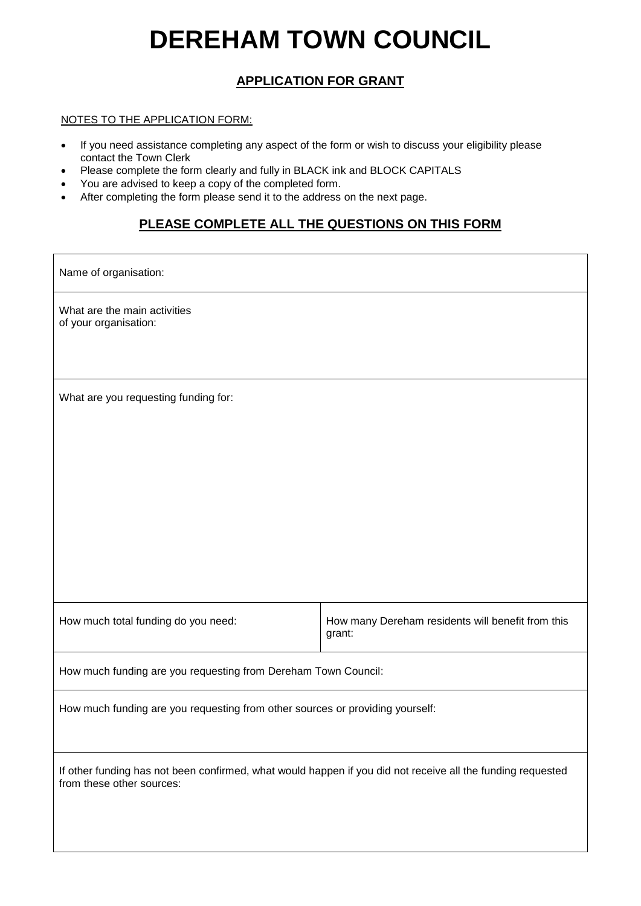# **DEREHAM TOWN COUNCIL**

## **APPLICATION FOR GRANT**

## NOTES TO THE APPLICATION FORM:

- If you need assistance completing any aspect of the form or wish to discuss your eligibility please contact the Town Clerk
- Please complete the form clearly and fully in BLACK ink and BLOCK CAPITALS
- You are advised to keep a copy of the completed form.
- After completing the form please send it to the address on the next page.

## **PLEASE COMPLETE ALL THE QUESTIONS ON THIS FORM**

Name of organisation:

What are the main activities of your organisation:

What are you requesting funding for:

How much total funding do you need: <br> How many Dereham residents will benefit from this grant:

How much funding are you requesting from Dereham Town Council:

How much funding are you requesting from other sources or providing yourself:

If other funding has not been confirmed, what would happen if you did not receive all the funding requested from these other sources: